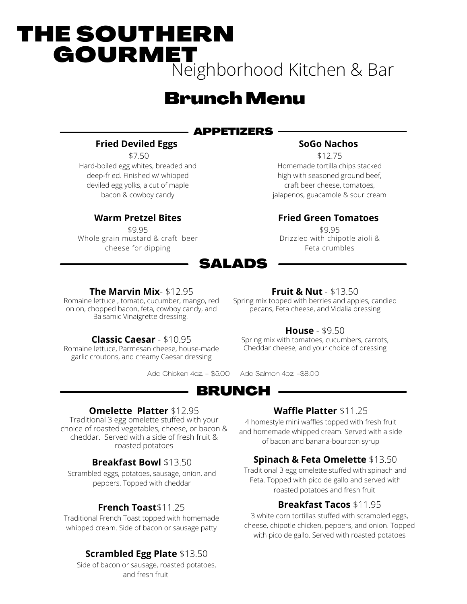# THE SOUTHERN **GOURMET** Neighborhood Kitchen & Bar

# **Brunch Menu**

# APPETIZERS

### **Fried Deviled Eggs**

\$7.50

Hard-boiled egg whites, breaded and deep-fried. Finished w/ whipped deviled egg yolks, a cut of maple bacon & cowboy candy

# **Warm Pretzel Bites**

\$9.95 Whole grain mustard & craft beer cheese for dipping

# SALADS

### **SoGo Nachos**

\$12.75 Homemade tortilla chips stacked high with seasoned ground beef, craft beer cheese, tomatoes, jalapenos, guacamole & sour cream

### **Fried Green Tomatoes**

\$9.95 Drizzled with chipotle aioli & Feta crumbles

#### **The Marvin Mix**- \$12.95

Romaine lettuce , tomato, cucumber, mango, red onion, chopped bacon, feta, cowboy candy, and Balsamic Vinaigrette dressing.

# **Classic Caesar** - \$10.95

Romaine lettuce, Parmesan cheese, house-made garlic croutons, and creamy Caesar dressing

#### **Fruit & Nut** - \$13.50

Spring mix topped with berries and apples, candied pecans, Feta cheese, and Vidalia dressing

### **House** - \$9.50

Spring mix with tomatoes, cucumbers, carrots, Cheddar cheese, and your choice of dressing

Add Chicken 4oz. - \$5.00 Add Salmon 4oz. -\$8.00

BRUNCH

# **Omelette Platter** \$12.95

Traditional 3 egg omelette stuffed with your choice of roasted vegetables, cheese, or bacon & cheddar. Served with a side of fresh fruit & roasted potatoes

# **Breakfast Bowl** \$13.50

Scrambled eggs, potatoes, sausage, onion, and peppers. Topped with cheddar

# **French Toast**\$11.25

Traditional French Toast topped with homemade whipped cream. Side of bacon or sausage patty

# **Scrambled Egg Plate** \$13.50

Side of bacon or sausage, roasted potatoes, and fresh fruit

# **Waffle Platter** \$11.25

4 homestyle mini waffles topped with fresh fruit and homemade whipped cream. Served with a side of bacon and banana-bourbon syrup

# **Spinach & Feta Omelette** \$13.50

Traditional 3 egg omelette stuffed with spinach and Feta. Topped with pico de gallo and served with roasted potatoes and fresh fruit

# **Breakfast Tacos** \$11.95

3 white corn tortillas stuffed with scrambled eggs, cheese, chipotle chicken, peppers, and onion. Topped with pico de gallo. Served with roasted potatoes